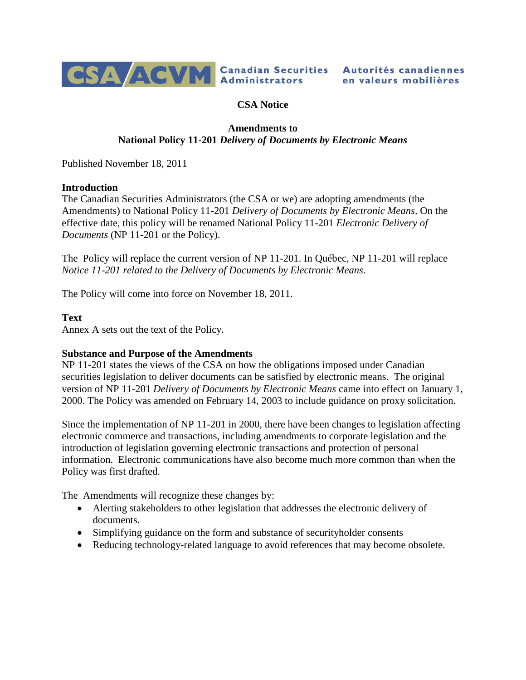

# **CSA Notice**

# **Amendments to National Policy 11-201** *Delivery of Documents by Electronic Means*

Published November 18, 2011

### **Introduction**

The Canadian Securities Administrators (the CSA or we) are adopting amendments (the Amendments) to National Policy 11-201 *Delivery of Documents by Electronic Means*. On the effective date, this policy will be renamed National Policy 11-201 *Electronic Delivery of Documents* (NP 11-201 or the Policy).

The Policy will replace the current version of NP 11-201. In Québec, NP 11-201 will replace *Notice 11-201 related to the Delivery of Documents by Electronic Means*.

The Policy will come into force on November 18, 2011.

#### **Text**

Annex A sets out the text of the Policy.

### **Substance and Purpose of the Amendments**

NP 11-201 states the views of the CSA on how the obligations imposed under Canadian securities legislation to deliver documents can be satisfied by electronic means. The original version of NP 11-201 *Delivery of Documents by Electronic Means* came into effect on January 1, 2000. The Policy was amended on February 14, 2003 to include guidance on proxy solicitation.

Since the implementation of NP 11-201 in 2000, there have been changes to legislation affecting electronic commerce and transactions, including amendments to corporate legislation and the introduction of legislation governing electronic transactions and protection of personal information. Electronic communications have also become much more common than when the Policy was first drafted.

The Amendments will recognize these changes by:

- Alerting stakeholders to other legislation that addresses the electronic delivery of documents.
- Simplifying guidance on the form and substance of security holder consents
- Reducing technology-related language to avoid references that may become obsolete.